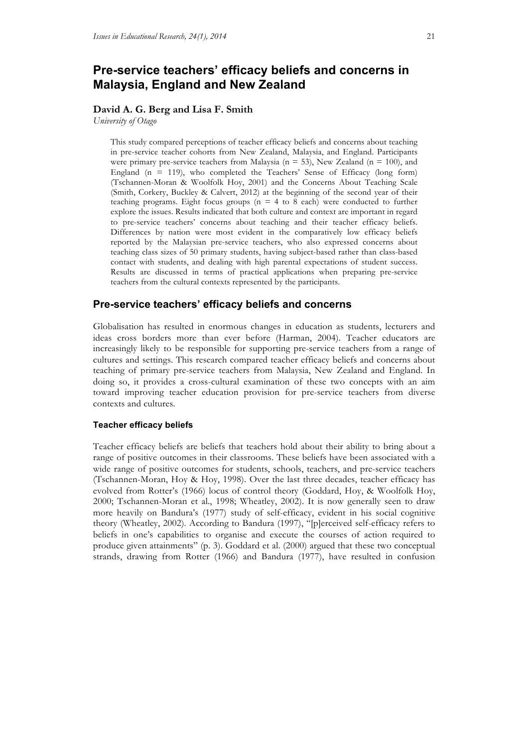# **Pre-service teachers' efficacy beliefs and concerns in Malaysia, England and New Zealand**

## **David A. G. Berg and Lisa F. Smith**

*University of Otago*

This study compared perceptions of teacher efficacy beliefs and concerns about teaching in pre-service teacher cohorts from New Zealand, Malaysia, and England. Participants were primary pre-service teachers from Malaysia ( $n = 53$ ), New Zealand ( $n = 100$ ), and England  $(n = 119)$ , who completed the Teachers' Sense of Efficacy (long form) (Tschannen-Moran & Woolfolk Hoy, 2001) and the Concerns About Teaching Scale (Smith, Corkery, Buckley & Calvert, 2012) at the beginning of the second year of their teaching programs. Eight focus groups ( $n = 4$  to 8 each) were conducted to further explore the issues. Results indicated that both culture and context are important in regard to pre-service teachers' concerns about teaching and their teacher efficacy beliefs. Differences by nation were most evident in the comparatively low efficacy beliefs reported by the Malaysian pre-service teachers, who also expressed concerns about teaching class sizes of 50 primary students, having subject-based rather than class-based contact with students, and dealing with high parental expectations of student success. Results are discussed in terms of practical applications when preparing pre-service teachers from the cultural contexts represented by the participants.

# **Pre-service teachers' efficacy beliefs and concerns**

Globalisation has resulted in enormous changes in education as students, lecturers and ideas cross borders more than ever before (Harman, 2004). Teacher educators are increasingly likely to be responsible for supporting pre-service teachers from a range of cultures and settings. This research compared teacher efficacy beliefs and concerns about teaching of primary pre-service teachers from Malaysia, New Zealand and England. In doing so, it provides a cross-cultural examination of these two concepts with an aim toward improving teacher education provision for pre-service teachers from diverse contexts and cultures.

#### **Teacher efficacy beliefs**

Teacher efficacy beliefs are beliefs that teachers hold about their ability to bring about a range of positive outcomes in their classrooms. These beliefs have been associated with a wide range of positive outcomes for students, schools, teachers, and pre-service teachers (Tschannen-Moran, Hoy & Hoy, 1998). Over the last three decades, teacher efficacy has evolved from Rotter's (1966) locus of control theory (Goddard, Hoy, & Woolfolk Hoy, 2000; Tschannen-Moran et al., 1998; Wheatley, 2002). It is now generally seen to draw more heavily on Bandura's (1977) study of self-efficacy, evident in his social cognitive theory (Wheatley, 2002). According to Bandura (1997), "[p]erceived self-efficacy refers to beliefs in one's capabilities to organise and execute the courses of action required to produce given attainments" (p. 3). Goddard et al. (2000) argued that these two conceptual strands, drawing from Rotter (1966) and Bandura (1977), have resulted in confusion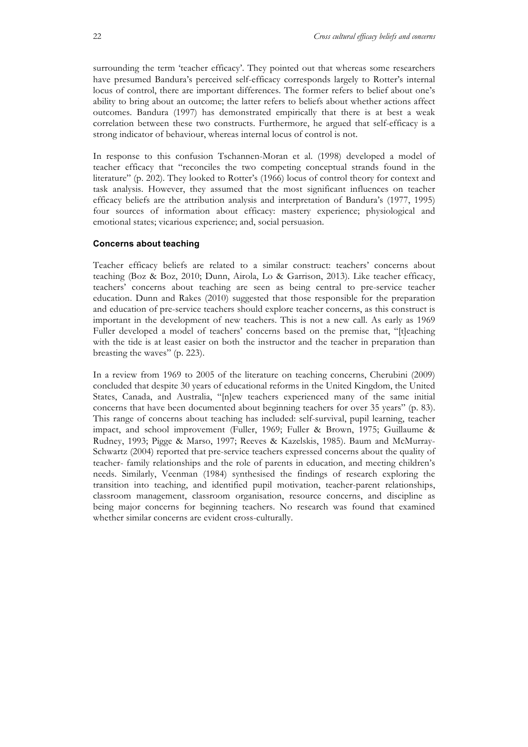surrounding the term 'teacher efficacy'. They pointed out that whereas some researchers have presumed Bandura's perceived self-efficacy corresponds largely to Rotter's internal locus of control, there are important differences. The former refers to belief about one's ability to bring about an outcome; the latter refers to beliefs about whether actions affect outcomes. Bandura (1997) has demonstrated empirically that there is at best a weak correlation between these two constructs. Furthermore, he argued that self-efficacy is a strong indicator of behaviour, whereas internal locus of control is not.

In response to this confusion Tschannen-Moran et al. (1998) developed a model of teacher efficacy that "reconciles the two competing conceptual strands found in the literature" (p. 202). They looked to Rotter's (1966) locus of control theory for context and task analysis. However, they assumed that the most significant influences on teacher efficacy beliefs are the attribution analysis and interpretation of Bandura's (1977, 1995) four sources of information about efficacy: mastery experience; physiological and emotional states; vicarious experience; and, social persuasion.

## **Concerns about teaching**

Teacher efficacy beliefs are related to a similar construct: teachers' concerns about teaching (Boz & Boz, 2010; Dunn, Airola, Lo & Garrison, 2013). Like teacher efficacy, teachers' concerns about teaching are seen as being central to pre-service teacher education. Dunn and Rakes (2010) suggested that those responsible for the preparation and education of pre-service teachers should explore teacher concerns, as this construct is important in the development of new teachers. This is not a new call. As early as 1969 Fuller developed a model of teachers' concerns based on the premise that, "[t]eaching with the tide is at least easier on both the instructor and the teacher in preparation than breasting the waves" (p. 223).

In a review from 1969 to 2005 of the literature on teaching concerns, Cherubini (2009) concluded that despite 30 years of educational reforms in the United Kingdom, the United States, Canada, and Australia, "[n]ew teachers experienced many of the same initial concerns that have been documented about beginning teachers for over 35 years" (p. 83). This range of concerns about teaching has included: self-survival, pupil learning, teacher impact, and school improvement (Fuller, 1969; Fuller & Brown, 1975; Guillaume & Rudney, 1993; Pigge & Marso, 1997; Reeves & Kazelskis, 1985). Baum and McMurray-Schwartz (2004) reported that pre-service teachers expressed concerns about the quality of teacher- family relationships and the role of parents in education, and meeting children's needs. Similarly, Veenman (1984) synthesised the findings of research exploring the transition into teaching, and identified pupil motivation, teacher-parent relationships, classroom management, classroom organisation, resource concerns, and discipline as being major concerns for beginning teachers. No research was found that examined whether similar concerns are evident cross-culturally.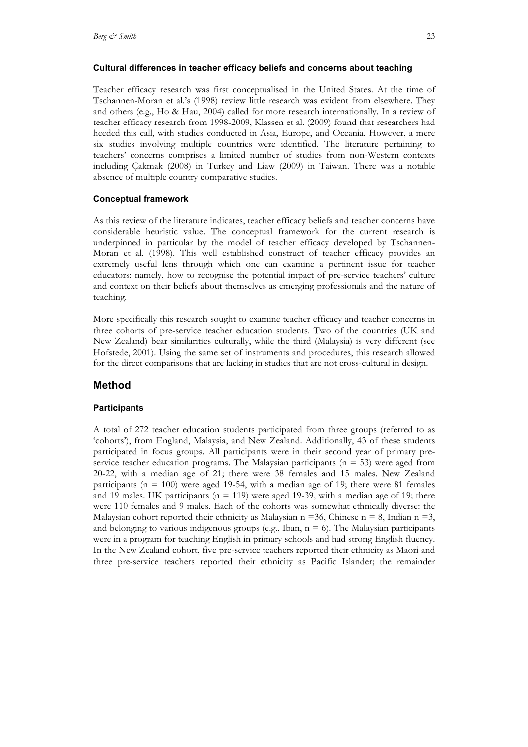#### **Cultural differences in teacher efficacy beliefs and concerns about teaching**

Teacher efficacy research was first conceptualised in the United States. At the time of Tschannen-Moran et al.'s (1998) review little research was evident from elsewhere. They and others (e.g., Ho & Hau, 2004) called for more research internationally. In a review of teacher efficacy research from 1998-2009, Klassen et al. (2009) found that researchers had heeded this call, with studies conducted in Asia, Europe, and Oceania. However, a mere six studies involving multiple countries were identified. The literature pertaining to teachers' concerns comprises a limited number of studies from non-Western contexts including Çakmak (2008) in Turkey and Liaw (2009) in Taiwan. There was a notable absence of multiple country comparative studies.

### **Conceptual framework**

As this review of the literature indicates, teacher efficacy beliefs and teacher concerns have considerable heuristic value. The conceptual framework for the current research is underpinned in particular by the model of teacher efficacy developed by Tschannen-Moran et al. (1998). This well established construct of teacher efficacy provides an extremely useful lens through which one can examine a pertinent issue for teacher educators: namely, how to recognise the potential impact of pre-service teachers' culture and context on their beliefs about themselves as emerging professionals and the nature of teaching.

More specifically this research sought to examine teacher efficacy and teacher concerns in three cohorts of pre-service teacher education students. Two of the countries (UK and New Zealand) bear similarities culturally, while the third (Malaysia) is very different (see Hofstede, 2001). Using the same set of instruments and procedures, this research allowed for the direct comparisons that are lacking in studies that are not cross-cultural in design.

# **Method**

#### **Participants**

A total of 272 teacher education students participated from three groups (referred to as 'cohorts'), from England, Malaysia, and New Zealand. Additionally, 43 of these students participated in focus groups. All participants were in their second year of primary preservice teacher education programs. The Malaysian participants ( $n = 53$ ) were aged from 20-22, with a median age of 21; there were 38 females and 15 males. New Zealand participants ( $n = 100$ ) were aged 19-54, with a median age of 19; there were 81 females and 19 males. UK participants ( $n = 119$ ) were aged 19-39, with a median age of 19; there were 110 females and 9 males. Each of the cohorts was somewhat ethnically diverse: the Malaysian cohort reported their ethnicity as Malaysian  $n = 36$ , Chinese  $n = 8$ , Indian  $n = 3$ , and belonging to various indigenous groups (e.g., Iban,  $n = 6$ ). The Malaysian participants were in a program for teaching English in primary schools and had strong English fluency. In the New Zealand cohort, five pre-service teachers reported their ethnicity as Maori and three pre-service teachers reported their ethnicity as Pacific Islander; the remainder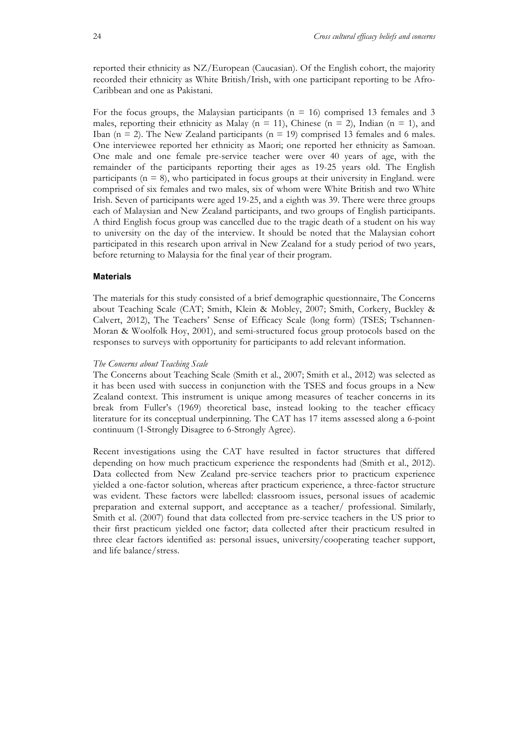reported their ethnicity as NZ/European (Caucasian). Of the English cohort, the majority recorded their ethnicity as White British/Irish, with one participant reporting to be Afro-Caribbean and one as Pakistani.

For the focus groups, the Malaysian participants ( $n = 16$ ) comprised 13 females and 3 males, reporting their ethnicity as Malay ( $n = 11$ ), Chinese ( $n = 2$ ), Indian ( $n = 1$ ), and Iban ( $n = 2$ ). The New Zealand participants ( $n = 19$ ) comprised 13 females and 6 males. One interviewee reported her ethnicity as Maori; one reported her ethnicity as Samoan. One male and one female pre-service teacher were over 40 years of age, with the remainder of the participants reporting their ages as 19-25 years old. The English participants ( $n = 8$ ), who participated in focus groups at their university in England. were comprised of six females and two males, six of whom were White British and two White Irish. Seven of participants were aged 19-25, and a eighth was 39. There were three groups each of Malaysian and New Zealand participants, and two groups of English participants. A third English focus group was cancelled due to the tragic death of a student on his way to university on the day of the interview. It should be noted that the Malaysian cohort participated in this research upon arrival in New Zealand for a study period of two years, before returning to Malaysia for the final year of their program.

## **Materials**

The materials for this study consisted of a brief demographic questionnaire, The Concerns about Teaching Scale (CAT; Smith, Klein & Mobley, 2007; Smith, Corkery, Buckley & Calvert, 2012), The Teachers' Sense of Efficacy Scale (long form) (TSES; Tschannen-Moran & Woolfolk Hoy, 2001), and semi-structured focus group protocols based on the responses to surveys with opportunity for participants to add relevant information.

## *The Concerns about Teaching Scale*

The Concerns about Teaching Scale (Smith et al., 2007; Smith et al., 2012) was selected as it has been used with success in conjunction with the TSES and focus groups in a New Zealand context. This instrument is unique among measures of teacher concerns in its break from Fuller's (1969) theoretical base, instead looking to the teacher efficacy literature for its conceptual underpinning. The CAT has 17 items assessed along a 6-point continuum (1-Strongly Disagree to 6-Strongly Agree).

Recent investigations using the CAT have resulted in factor structures that differed depending on how much practicum experience the respondents had (Smith et al., 2012). Data collected from New Zealand pre-service teachers prior to practicum experience yielded a one-factor solution, whereas after practicum experience, a three-factor structure was evident. These factors were labelled: classroom issues, personal issues of academic preparation and external support, and acceptance as a teacher/ professional. Similarly, Smith et al. (2007) found that data collected from pre-service teachers in the US prior to their first practicum yielded one factor; data collected after their practicum resulted in three clear factors identified as: personal issues, university/cooperating teacher support, and life balance/stress.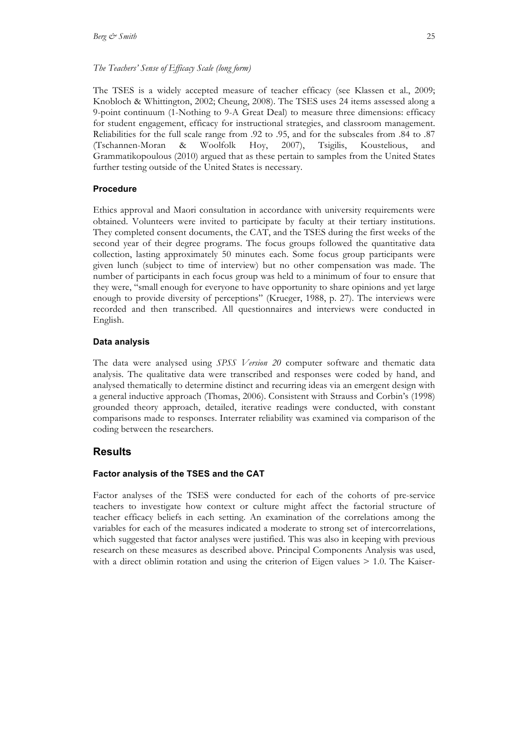## *The Teachers' Sense of Efficacy Scale (long form)*

The TSES is a widely accepted measure of teacher efficacy (see Klassen et al., 2009; Knobloch & Whittington, 2002; Cheung, 2008). The TSES uses 24 items assessed along a 9-point continuum (1-Nothing to 9-A Great Deal) to measure three dimensions: efficacy for student engagement, efficacy for instructional strategies, and classroom management. Reliabilities for the full scale range from .92 to .95, and for the subscales from .84 to .87 (Tschannen-Moran & Woolfolk Hoy, 2007), Tsigilis, Koustelious, and Grammatikopoulous (2010) argued that as these pertain to samples from the United States further testing outside of the United States is necessary.

## **Procedure**

Ethics approval and Maori consultation in accordance with university requirements were obtained. Volunteers were invited to participate by faculty at their tertiary institutions. They completed consent documents, the CAT, and the TSES during the first weeks of the second year of their degree programs. The focus groups followed the quantitative data collection, lasting approximately 50 minutes each. Some focus group participants were given lunch (subject to time of interview) but no other compensation was made. The number of participants in each focus group was held to a minimum of four to ensure that they were, "small enough for everyone to have opportunity to share opinions and yet large enough to provide diversity of perceptions" (Krueger, 1988, p. 27). The interviews were recorded and then transcribed. All questionnaires and interviews were conducted in English.

## **Data analysis**

The data were analysed using *SPSS Version 20* computer software and thematic data analysis. The qualitative data were transcribed and responses were coded by hand, and analysed thematically to determine distinct and recurring ideas via an emergent design with a general inductive approach (Thomas, 2006). Consistent with Strauss and Corbin's (1998) grounded theory approach, detailed, iterative readings were conducted, with constant comparisons made to responses. Interrater reliability was examined via comparison of the coding between the researchers.

# **Results**

## **Factor analysis of the TSES and the CAT**

Factor analyses of the TSES were conducted for each of the cohorts of pre-service teachers to investigate how context or culture might affect the factorial structure of teacher efficacy beliefs in each setting. An examination of the correlations among the variables for each of the measures indicated a moderate to strong set of intercorrelations, which suggested that factor analyses were justified. This was also in keeping with previous research on these measures as described above. Principal Components Analysis was used, with a direct oblimin rotation and using the criterion of Eigen values  $> 1.0$ . The Kaiser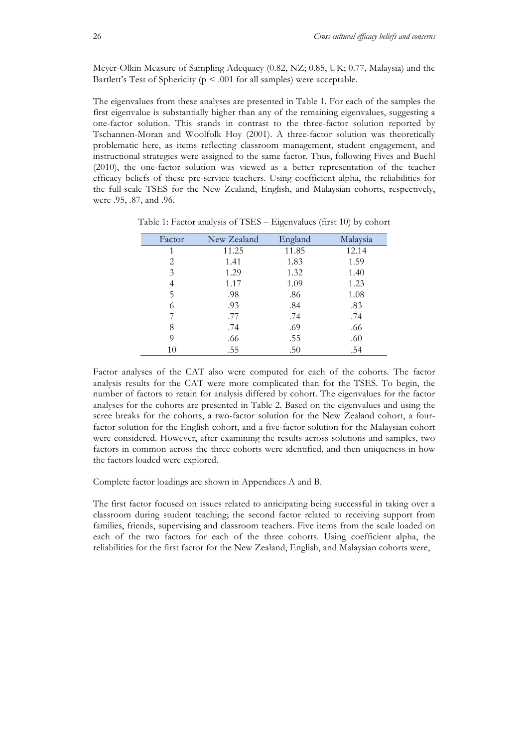Meyer-Olkin Measure of Sampling Adequacy (0.82, NZ; 0.85, UK; 0.77, Malaysia) and the Bartlett's Test of Sphericity ( $p < .001$  for all samples) were acceptable.

The eigenvalues from these analyses are presented in Table 1. For each of the samples the first eigenvalue is substantially higher than any of the remaining eigenvalues, suggesting a one-factor solution. This stands in contrast to the three-factor solution reported by Tschannen-Moran and Woolfolk Hoy (2001). A three-factor solution was theoretically problematic here, as items reflecting classroom management, student engagement, and instructional strategies were assigned to the same factor. Thus, following Fives and Buehl (2010), the one-factor solution was viewed as a better representation of the teacher efficacy beliefs of these pre-service teachers. Using coefficient alpha, the reliabilities for the full-scale TSES for the New Zealand, English, and Malaysian cohorts, respectively, were .95, .87, and .96.

| Factor | New Zealand | England | Malaysia |
|--------|-------------|---------|----------|
| 1      | 11.25       | 11.85   | 12.14    |
| 2      | 1.41        | 1.83    | 1.59     |
| 3      | 1.29        | 1.32    | 1.40     |
| 4      | 1.17        | 1.09    | 1.23     |
| 5      | .98         | .86     | 1.08     |
| 6      | .93         | .84     | .83      |
| 7      | .77         | .74     | .74      |
| 8      | .74         | .69     | .66      |
| 9      | .66         | .55     | .60      |
| 10     | .55         | .50     | .54      |

Table 1: Factor analysis of TSES – Eigenvalues (first 10) by cohort

Factor analyses of the CAT also were computed for each of the cohorts. The factor analysis results for the CAT were more complicated than for the TSES. To begin, the number of factors to retain for analysis differed by cohort. The eigenvalues for the factor analyses for the cohorts are presented in Table 2. Based on the eigenvalues and using the scree breaks for the cohorts, a two-factor solution for the New Zealand cohort, a fourfactor solution for the English cohort, and a five-factor solution for the Malaysian cohort were considered. However, after examining the results across solutions and samples, two factors in common across the three cohorts were identified, and then uniqueness in how the factors loaded were explored.

Complete factor loadings are shown in Appendices A and B.

The first factor focused on issues related to anticipating being successful in taking over a classroom during student teaching; the second factor related to receiving support from families, friends, supervising and classroom teachers. Five items from the scale loaded on each of the two factors for each of the three cohorts. Using coefficient alpha, the reliabilities for the first factor for the New Zealand, English, and Malaysian cohorts were,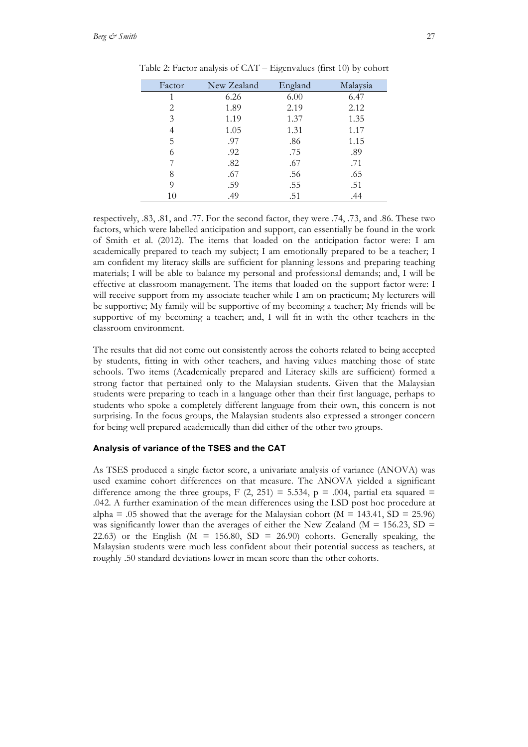| Factor | New Zealand | England | Malaysia |
|--------|-------------|---------|----------|
|        | 6.26        | 6.00    | 6.47     |
| 2      | 1.89        | 2.19    | 2.12     |
| 3      | 1.19        | 1.37    | 1.35     |
| 4      | 1.05        | 1.31    | 1.17     |
| 5      | .97         | .86     | 1.15     |
| 6      | .92         | .75     | .89      |
|        | .82         | .67     | .71      |
| 8      | .67         | .56     | .65      |
| 0      | .59         | .55     | .51      |
| 10     | .49         | .51     | .44      |

Table 2: Factor analysis of CAT – Eigenvalues (first 10) by cohort

respectively, .83, .81, and .77. For the second factor, they were .74, .73, and .86. These two factors, which were labelled anticipation and support, can essentially be found in the work of Smith et al. (2012). The items that loaded on the anticipation factor were: I am academically prepared to teach my subject; I am emotionally prepared to be a teacher; I am confident my literacy skills are sufficient for planning lessons and preparing teaching materials; I will be able to balance my personal and professional demands; and, I will be effective at classroom management. The items that loaded on the support factor were: I will receive support from my associate teacher while I am on practicum; My lecturers will be supportive; My family will be supportive of my becoming a teacher; My friends will be supportive of my becoming a teacher; and, I will fit in with the other teachers in the classroom environment.

The results that did not come out consistently across the cohorts related to being accepted by students, fitting in with other teachers, and having values matching those of state schools. Two items (Academically prepared and Literacy skills are sufficient) formed a strong factor that pertained only to the Malaysian students. Given that the Malaysian students were preparing to teach in a language other than their first language, perhaps to students who spoke a completely different language from their own, this concern is not surprising. In the focus groups, the Malaysian students also expressed a stronger concern for being well prepared academically than did either of the other two groups.

## **Analysis of variance of the TSES and the CAT**

As TSES produced a single factor score, a univariate analysis of variance (ANOVA) was used examine cohort differences on that measure. The ANOVA yielded a significant difference among the three groups, F  $(2, 251) = 5.534$ , p = .004, partial eta squared = .042. A further examination of the mean differences using the LSD post hoc procedure at alpha = .05 showed that the average for the Malaysian cohort ( $M = 143.41$ ,  $SD = 25.96$ ) was significantly lower than the averages of either the New Zealand ( $M = 156.23$ , SD = 22.63) or the English ( $M = 156.80$ ,  $SD = 26.90$ ) cohorts. Generally speaking, the Malaysian students were much less confident about their potential success as teachers, at roughly .50 standard deviations lower in mean score than the other cohorts.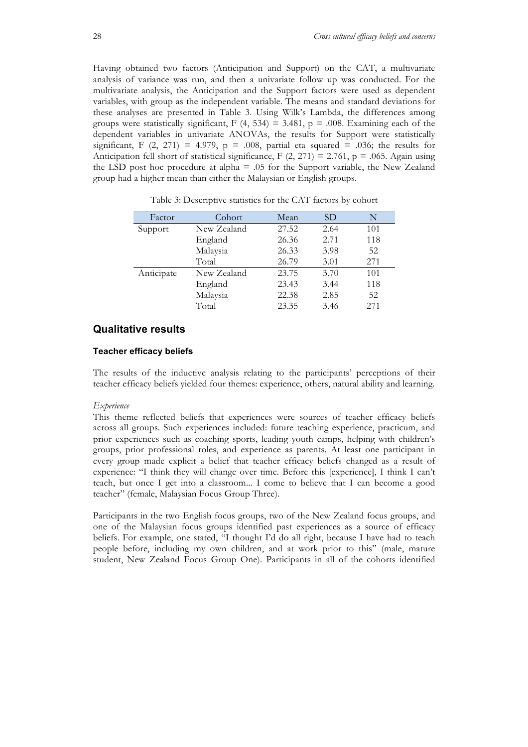Having obtained two factors (Anticipation and Support) on the CAT, a multivariate analysis of variance was run, and then a univariate follow up was conducted. For the multivariate analysis, the Anticipation and the Support factors were used as dependent variables, with group as the independent variable. The means and standard deviations for these analyses are presented in Table 3. Using Wilk's Lambda, the differences among groups were statistically significant,  $F(4, 534) = 3.481$ ,  $p = .008$ . Examining each of the dependent variables in univariate ANOVAs, the results for Support were statistically significant, F  $(2, 271) = 4.979$ , p = .008, partial eta squared = .036; the results for Anticipation fell short of statistical significance,  $F(2, 271) = 2.761$ ,  $p = .065$ . Again using the LSD post hoc procedure at alpha  $= .05$  for the Support variable, the New Zealand group had a higher mean than either the Malaysian or English groups.

| Factor     | Cohort      | Mean  | SD   | N   |
|------------|-------------|-------|------|-----|
| Support    | New Zealand | 27.52 | 2.64 | 101 |
|            | England     | 26.36 | 2.71 | 118 |
|            | Malaysia    | 26.33 | 3.98 | 52  |
|            | Total       | 26.79 | 3.01 | 271 |
| Anticipate | New Zealand | 23.75 | 3.70 | 101 |
|            | England     | 23.43 | 3.44 | 118 |
|            | Malaysia    | 22.38 | 2.85 | 52  |
|            | Total       | 23.35 | 3.46 | 271 |

Table 3: Descriptive statistics for the CAT factors by cohort

# **Qualitative results**

# **Teacher efficacy beliefs**

The results of the inductive analysis relating to the participants' perceptions of their teacher efficacy beliefs yielded four themes: experience, others, natural ability and learning.

#### *Experience*

This theme reflected beliefs that experiences were sources of teacher efficacy beliefs across all groups. Such experiences included: future teaching experience, practicum, and prior experiences such as coaching sports, leading youth camps, helping with children's groups, prior professional roles, and experience as parents. At least one participant in every group made explicit a belief that teacher efficacy beliefs changed as a result of experience: "I think they will change over time. Before this [experience], I think I can't teach, but once I get into a classroom... I come to believe that I can become a good teacher" (female, Malaysian Focus Group Three).

Participants in the two English focus groups, two of the New Zealand focus groups, and one of the Malaysian focus groups identified past experiences as a source of efficacy beliefs. For example, one stated, "I thought I'd do all right, because I have had to teach people before, including my own children, and at work prior to this" (male, mature student, New Zealand Focus Group One). Participants in all of the cohorts identified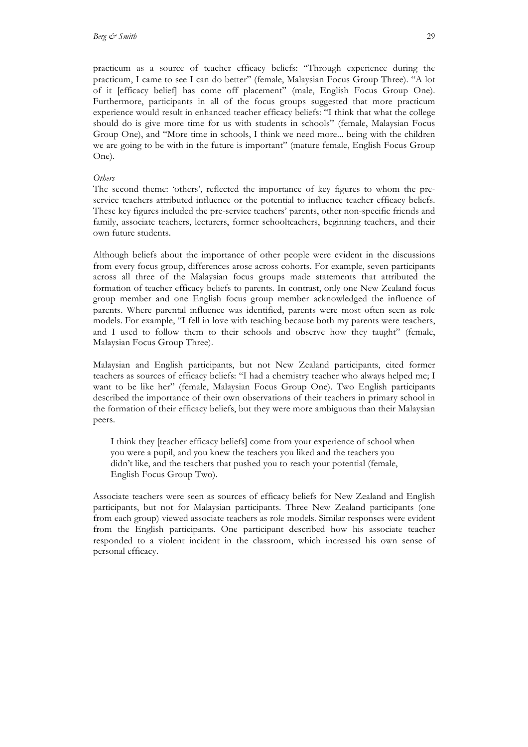practicum as a source of teacher efficacy beliefs: "Through experience during the practicum, I came to see I can do better" (female, Malaysian Focus Group Three). "A lot of it [efficacy belief] has come off placement" (male, English Focus Group One). Furthermore, participants in all of the focus groups suggested that more practicum experience would result in enhanced teacher efficacy beliefs: "I think that what the college should do is give more time for us with students in schools" (female, Malaysian Focus Group One), and "More time in schools, I think we need more... being with the children we are going to be with in the future is important" (mature female, English Focus Group One).

### *Others*

The second theme: 'others', reflected the importance of key figures to whom the preservice teachers attributed influence or the potential to influence teacher efficacy beliefs. These key figures included the pre-service teachers' parents, other non-specific friends and family, associate teachers, lecturers, former schoolteachers, beginning teachers, and their own future students.

Although beliefs about the importance of other people were evident in the discussions from every focus group, differences arose across cohorts. For example, seven participants across all three of the Malaysian focus groups made statements that attributed the formation of teacher efficacy beliefs to parents. In contrast, only one New Zealand focus group member and one English focus group member acknowledged the influence of parents. Where parental influence was identified, parents were most often seen as role models. For example, "I fell in love with teaching because both my parents were teachers, and I used to follow them to their schools and observe how they taught" (female, Malaysian Focus Group Three).

Malaysian and English participants, but not New Zealand participants, cited former teachers as sources of efficacy beliefs: "I had a chemistry teacher who always helped me; I want to be like her" (female, Malaysian Focus Group One). Two English participants described the importance of their own observations of their teachers in primary school in the formation of their efficacy beliefs, but they were more ambiguous than their Malaysian peers.

I think they [teacher efficacy beliefs] come from your experience of school when you were a pupil, and you knew the teachers you liked and the teachers you didn't like, and the teachers that pushed you to reach your potential (female, English Focus Group Two).

Associate teachers were seen as sources of efficacy beliefs for New Zealand and English participants, but not for Malaysian participants. Three New Zealand participants (one from each group) viewed associate teachers as role models. Similar responses were evident from the English participants. One participant described how his associate teacher responded to a violent incident in the classroom, which increased his own sense of personal efficacy.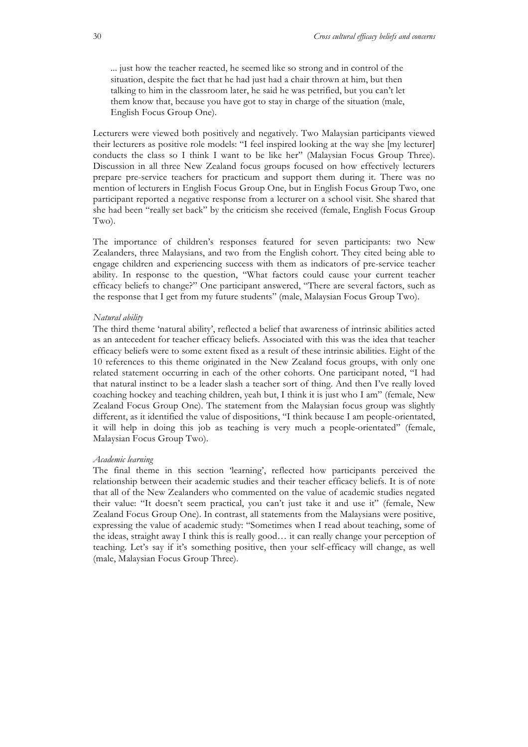... just how the teacher reacted, he seemed like so strong and in control of the situation, despite the fact that he had just had a chair thrown at him, but then talking to him in the classroom later, he said he was petrified, but you can't let them know that, because you have got to stay in charge of the situation (male, English Focus Group One).

Lecturers were viewed both positively and negatively. Two Malaysian participants viewed their lecturers as positive role models: "I feel inspired looking at the way she [my lecturer] conducts the class so I think I want to be like her" (Malaysian Focus Group Three). Discussion in all three New Zealand focus groups focused on how effectively lecturers prepare pre-service teachers for practicum and support them during it. There was no mention of lecturers in English Focus Group One, but in English Focus Group Two, one participant reported a negative response from a lecturer on a school visit. She shared that she had been "really set back" by the criticism she received (female, English Focus Group Two).

The importance of children's responses featured for seven participants: two New Zealanders, three Malaysians, and two from the English cohort. They cited being able to engage children and experiencing success with them as indicators of pre-service teacher ability. In response to the question, "What factors could cause your current teacher efficacy beliefs to change?" One participant answered, "There are several factors, such as the response that I get from my future students" (male, Malaysian Focus Group Two).

#### *Natural ability*

The third theme 'natural ability', reflected a belief that awareness of intrinsic abilities acted as an antecedent for teacher efficacy beliefs. Associated with this was the idea that teacher efficacy beliefs were to some extent fixed as a result of these intrinsic abilities. Eight of the 10 references to this theme originated in the New Zealand focus groups, with only one related statement occurring in each of the other cohorts. One participant noted, "I had that natural instinct to be a leader slash a teacher sort of thing. And then I've really loved coaching hockey and teaching children, yeah but, I think it is just who I am" (female, New Zealand Focus Group One). The statement from the Malaysian focus group was slightly different, as it identified the value of dispositions, "I think because I am people-orientated, it will help in doing this job as teaching is very much a people-orientated" (female, Malaysian Focus Group Two).

#### *Academic learning*

The final theme in this section 'learning', reflected how participants perceived the relationship between their academic studies and their teacher efficacy beliefs. It is of note that all of the New Zealanders who commented on the value of academic studies negated their value: "It doesn't seem practical, you can't just take it and use it" (female, New Zealand Focus Group One). In contrast, all statements from the Malaysians were positive, expressing the value of academic study: "Sometimes when I read about teaching, some of the ideas, straight away I think this is really good… it can really change your perception of teaching. Let's say if it's something positive, then your self-efficacy will change, as well (male, Malaysian Focus Group Three).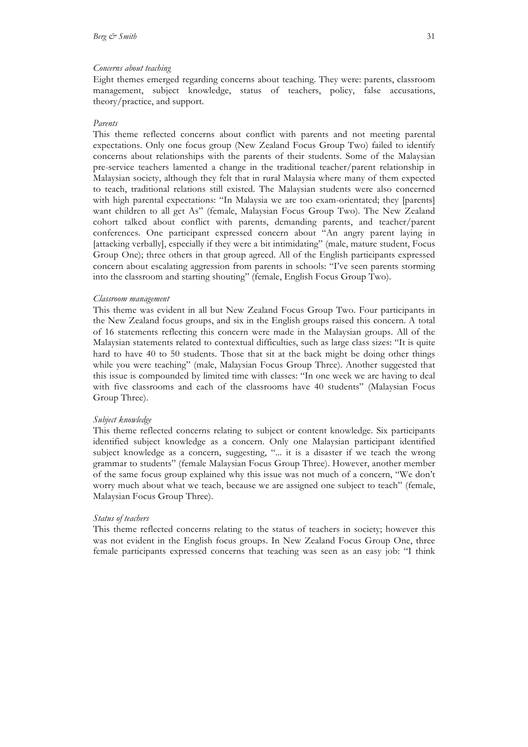#### *Concerns about teaching*

Eight themes emerged regarding concerns about teaching. They were: parents, classroom management, subject knowledge, status of teachers, policy, false accusations, theory/practice, and support.

## *Parents*

This theme reflected concerns about conflict with parents and not meeting parental expectations. Only one focus group (New Zealand Focus Group Two) failed to identify concerns about relationships with the parents of their students. Some of the Malaysian pre-service teachers lamented a change in the traditional teacher/parent relationship in Malaysian society, although they felt that in rural Malaysia where many of them expected to teach, traditional relations still existed. The Malaysian students were also concerned with high parental expectations: "In Malaysia we are too exam-orientated; they [parents] want children to all get As" (female, Malaysian Focus Group Two). The New Zealand cohort talked about conflict with parents, demanding parents, and teacher/parent conferences. One participant expressed concern about "An angry parent laying in [attacking verbally], especially if they were a bit intimidating" (male, mature student, Focus Group One); three others in that group agreed. All of the English participants expressed concern about escalating aggression from parents in schools: "I've seen parents storming into the classroom and starting shouting" (female, English Focus Group Two).

#### *Classroom management*

This theme was evident in all but New Zealand Focus Group Two. Four participants in the New Zealand focus groups, and six in the English groups raised this concern. A total of 16 statements reflecting this concern were made in the Malaysian groups. All of the Malaysian statements related to contextual difficulties, such as large class sizes: "It is quite hard to have 40 to 50 students. Those that sit at the back might be doing other things while you were teaching" (male, Malaysian Focus Group Three). Another suggested that this issue is compounded by limited time with classes: "In one week we are having to deal with five classrooms and each of the classrooms have 40 students" (Malaysian Focus Group Three).

#### *Subject knowledge*

This theme reflected concerns relating to subject or content knowledge. Six participants identified subject knowledge as a concern. Only one Malaysian participant identified subject knowledge as a concern, suggesting, "... it is a disaster if we teach the wrong grammar to students" (female Malaysian Focus Group Three). However, another member of the same focus group explained why this issue was not much of a concern, "We don't worry much about what we teach, because we are assigned one subject to teach" (female, Malaysian Focus Group Three).

#### *Status of teachers*

This theme reflected concerns relating to the status of teachers in society; however this was not evident in the English focus groups. In New Zealand Focus Group One, three female participants expressed concerns that teaching was seen as an easy job: "I think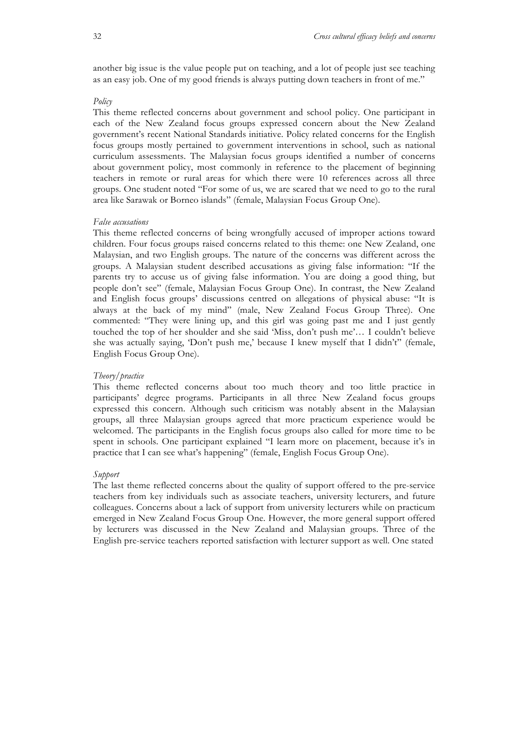another big issue is the value people put on teaching, and a lot of people just see teaching as an easy job. One of my good friends is always putting down teachers in front of me."

#### *Policy*

This theme reflected concerns about government and school policy. One participant in each of the New Zealand focus groups expressed concern about the New Zealand government's recent National Standards initiative. Policy related concerns for the English focus groups mostly pertained to government interventions in school, such as national curriculum assessments. The Malaysian focus groups identified a number of concerns about government policy, most commonly in reference to the placement of beginning teachers in remote or rural areas for which there were 10 references across all three groups. One student noted "For some of us, we are scared that we need to go to the rural area like Sarawak or Borneo islands" (female, Malaysian Focus Group One).

#### *False accusations*

This theme reflected concerns of being wrongfully accused of improper actions toward children. Four focus groups raised concerns related to this theme: one New Zealand, one Malaysian, and two English groups. The nature of the concerns was different across the groups. A Malaysian student described accusations as giving false information: "If the parents try to accuse us of giving false information. You are doing a good thing, but people don't see" (female, Malaysian Focus Group One). In contrast, the New Zealand and English focus groups' discussions centred on allegations of physical abuse: "It is always at the back of my mind" (male, New Zealand Focus Group Three). One commented: "They were lining up, and this girl was going past me and I just gently touched the top of her shoulder and she said 'Miss, don't push me'… I couldn't believe she was actually saying, 'Don't push me,' because I knew myself that I didn't" (female, English Focus Group One).

#### *Theory/practice*

This theme reflected concerns about too much theory and too little practice in participants' degree programs. Participants in all three New Zealand focus groups expressed this concern. Although such criticism was notably absent in the Malaysian groups, all three Malaysian groups agreed that more practicum experience would be welcomed. The participants in the English focus groups also called for more time to be spent in schools. One participant explained "I learn more on placement, because it's in practice that I can see what's happening" (female, English Focus Group One).

#### *Support*

The last theme reflected concerns about the quality of support offered to the pre-service teachers from key individuals such as associate teachers, university lecturers, and future colleagues. Concerns about a lack of support from university lecturers while on practicum emerged in New Zealand Focus Group One. However, the more general support offered by lecturers was discussed in the New Zealand and Malaysian groups. Three of the English pre-service teachers reported satisfaction with lecturer support as well. One stated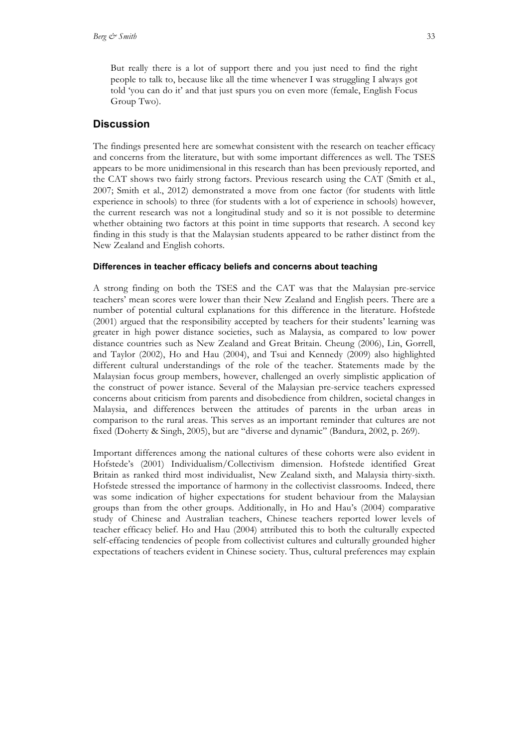But really there is a lot of support there and you just need to find the right people to talk to, because like all the time whenever I was struggling I always got told 'you can do it' and that just spurs you on even more (female, English Focus Group Two).

# **Discussion**

The findings presented here are somewhat consistent with the research on teacher efficacy and concerns from the literature, but with some important differences as well. The TSES appears to be more unidimensional in this research than has been previously reported, and the CAT shows two fairly strong factors. Previous research using the CAT (Smith et al., 2007; Smith et al., 2012) demonstrated a move from one factor (for students with little experience in schools) to three (for students with a lot of experience in schools) however, the current research was not a longitudinal study and so it is not possible to determine whether obtaining two factors at this point in time supports that research. A second key finding in this study is that the Malaysian students appeared to be rather distinct from the New Zealand and English cohorts.

# **Differences in teacher efficacy beliefs and concerns about teaching**

A strong finding on both the TSES and the CAT was that the Malaysian pre-service teachers' mean scores were lower than their New Zealand and English peers. There are a number of potential cultural explanations for this difference in the literature. Hofstede (2001) argued that the responsibility accepted by teachers for their students' learning was greater in high power distance societies, such as Malaysia, as compared to low power distance countries such as New Zealand and Great Britain. Cheung (2006), Lin, Gorrell, and Taylor (2002), Ho and Hau (2004), and Tsui and Kennedy (2009) also highlighted different cultural understandings of the role of the teacher. Statements made by the Malaysian focus group members, however, challenged an overly simplistic application of the construct of power istance. Several of the Malaysian pre-service teachers expressed concerns about criticism from parents and disobedience from children, societal changes in Malaysia, and differences between the attitudes of parents in the urban areas in comparison to the rural areas. This serves as an important reminder that cultures are not fixed (Doherty & Singh, 2005), but are "diverse and dynamic" (Bandura, 2002, p. 269).

Important differences among the national cultures of these cohorts were also evident in Hofstede's (2001) Individualism/Collectivism dimension. Hofstede identified Great Britain as ranked third most individualist, New Zealand sixth, and Malaysia thirty-sixth. Hofstede stressed the importance of harmony in the collectivist classrooms. Indeed, there was some indication of higher expectations for student behaviour from the Malaysian groups than from the other groups. Additionally, in Ho and Hau's (2004) comparative study of Chinese and Australian teachers, Chinese teachers reported lower levels of teacher efficacy belief. Ho and Hau (2004) attributed this to both the culturally expected self-effacing tendencies of people from collectivist cultures and culturally grounded higher expectations of teachers evident in Chinese society. Thus, cultural preferences may explain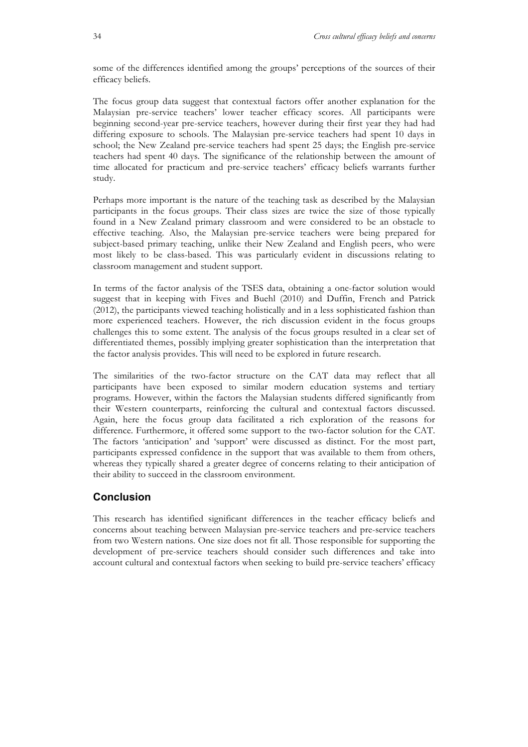some of the differences identified among the groups' perceptions of the sources of their efficacy beliefs.

The focus group data suggest that contextual factors offer another explanation for the Malaysian pre-service teachers' lower teacher efficacy scores. All participants were beginning second-year pre-service teachers, however during their first year they had had differing exposure to schools. The Malaysian pre-service teachers had spent 10 days in school; the New Zealand pre-service teachers had spent 25 days; the English pre-service teachers had spent 40 days. The significance of the relationship between the amount of time allocated for practicum and pre-service teachers' efficacy beliefs warrants further study.

Perhaps more important is the nature of the teaching task as described by the Malaysian participants in the focus groups. Their class sizes are twice the size of those typically found in a New Zealand primary classroom and were considered to be an obstacle to effective teaching. Also, the Malaysian pre-service teachers were being prepared for subject-based primary teaching, unlike their New Zealand and English peers, who were most likely to be class-based. This was particularly evident in discussions relating to classroom management and student support.

In terms of the factor analysis of the TSES data, obtaining a one-factor solution would suggest that in keeping with Fives and Buehl (2010) and Duffin, French and Patrick (2012), the participants viewed teaching holistically and in a less sophisticated fashion than more experienced teachers. However, the rich discussion evident in the focus groups challenges this to some extent. The analysis of the focus groups resulted in a clear set of differentiated themes, possibly implying greater sophistication than the interpretation that the factor analysis provides. This will need to be explored in future research.

The similarities of the two-factor structure on the CAT data may reflect that all participants have been exposed to similar modern education systems and tertiary programs. However, within the factors the Malaysian students differed significantly from their Western counterparts, reinforcing the cultural and contextual factors discussed. Again, here the focus group data facilitated a rich exploration of the reasons for difference. Furthermore, it offered some support to the two-factor solution for the CAT. The factors 'anticipation' and 'support' were discussed as distinct. For the most part, participants expressed confidence in the support that was available to them from others, whereas they typically shared a greater degree of concerns relating to their anticipation of their ability to succeed in the classroom environment.

# **Conclusion**

This research has identified significant differences in the teacher efficacy beliefs and concerns about teaching between Malaysian pre-service teachers and pre-service teachers from two Western nations. One size does not fit all. Those responsible for supporting the development of pre-service teachers should consider such differences and take into account cultural and contextual factors when seeking to build pre-service teachers' efficacy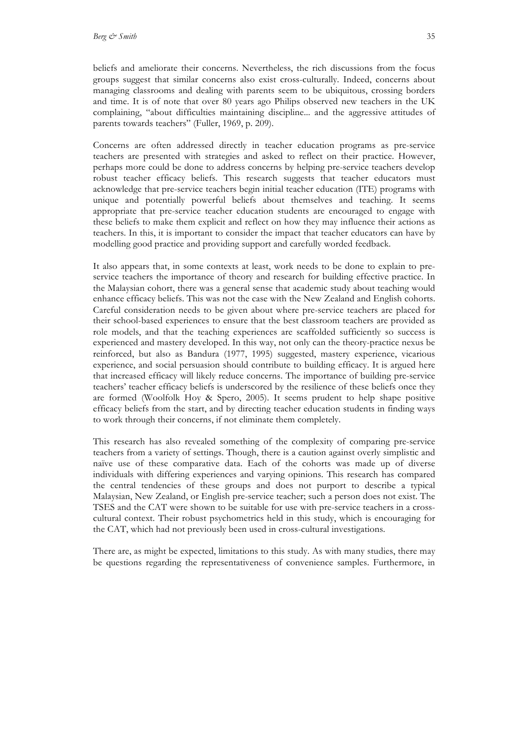beliefs and ameliorate their concerns. Nevertheless, the rich discussions from the focus groups suggest that similar concerns also exist cross-culturally. Indeed, concerns about managing classrooms and dealing with parents seem to be ubiquitous, crossing borders and time. It is of note that over 80 years ago Philips observed new teachers in the UK complaining, "about difficulties maintaining discipline... and the aggressive attitudes of parents towards teachers" (Fuller, 1969, p. 209).

Concerns are often addressed directly in teacher education programs as pre-service teachers are presented with strategies and asked to reflect on their practice. However, perhaps more could be done to address concerns by helping pre-service teachers develop robust teacher efficacy beliefs. This research suggests that teacher educators must acknowledge that pre-service teachers begin initial teacher education (ITE) programs with unique and potentially powerful beliefs about themselves and teaching. It seems appropriate that pre-service teacher education students are encouraged to engage with these beliefs to make them explicit and reflect on how they may influence their actions as teachers. In this, it is important to consider the impact that teacher educators can have by modelling good practice and providing support and carefully worded feedback.

It also appears that, in some contexts at least, work needs to be done to explain to preservice teachers the importance of theory and research for building effective practice. In the Malaysian cohort, there was a general sense that academic study about teaching would enhance efficacy beliefs. This was not the case with the New Zealand and English cohorts. Careful consideration needs to be given about where pre-service teachers are placed for their school-based experiences to ensure that the best classroom teachers are provided as role models, and that the teaching experiences are scaffolded sufficiently so success is experienced and mastery developed. In this way, not only can the theory-practice nexus be reinforced, but also as Bandura (1977, 1995) suggested, mastery experience, vicarious experience, and social persuasion should contribute to building efficacy. It is argued here that increased efficacy will likely reduce concerns. The importance of building pre-service teachers' teacher efficacy beliefs is underscored by the resilience of these beliefs once they are formed (Woolfolk Hoy & Spero, 2005). It seems prudent to help shape positive efficacy beliefs from the start, and by directing teacher education students in finding ways to work through their concerns, if not eliminate them completely.

This research has also revealed something of the complexity of comparing pre-service teachers from a variety of settings. Though, there is a caution against overly simplistic and naïve use of these comparative data. Each of the cohorts was made up of diverse individuals with differing experiences and varying opinions. This research has compared the central tendencies of these groups and does not purport to describe a typical Malaysian, New Zealand, or English pre-service teacher; such a person does not exist. The TSES and the CAT were shown to be suitable for use with pre-service teachers in a crosscultural context. Their robust psychometrics held in this study, which is encouraging for the CAT, which had not previously been used in cross-cultural investigations.

There are, as might be expected, limitations to this study. As with many studies, there may be questions regarding the representativeness of convenience samples. Furthermore, in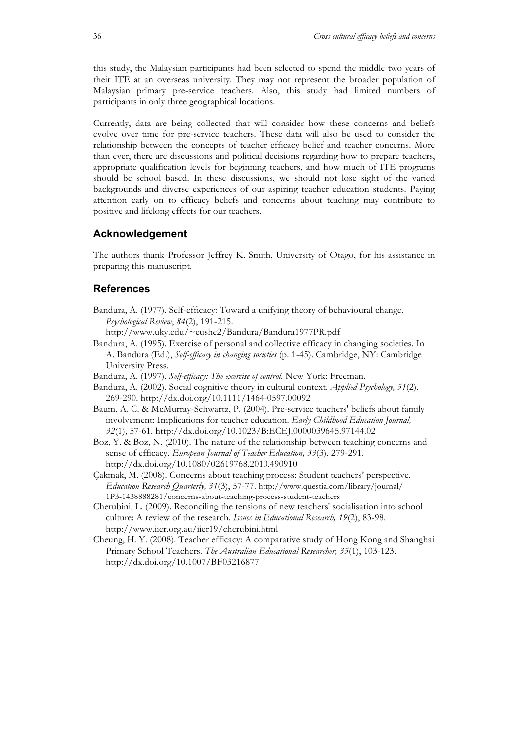this study, the Malaysian participants had been selected to spend the middle two years of their ITE at an overseas university. They may not represent the broader population of Malaysian primary pre-service teachers. Also, this study had limited numbers of participants in only three geographical locations.

Currently, data are being collected that will consider how these concerns and beliefs evolve over time for pre-service teachers. These data will also be used to consider the relationship between the concepts of teacher efficacy belief and teacher concerns. More than ever, there are discussions and political decisions regarding how to prepare teachers, appropriate qualification levels for beginning teachers, and how much of ITE programs should be school based. In these discussions, we should not lose sight of the varied backgrounds and diverse experiences of our aspiring teacher education students. Paying attention early on to efficacy beliefs and concerns about teaching may contribute to positive and lifelong effects for our teachers.

## **Acknowledgement**

The authors thank Professor Jeffrey K. Smith, University of Otago, for his assistance in preparing this manuscript.

# **References**

Bandura, A. (1977). Self-efficacy: Toward a unifying theory of behavioural change. *Psychological Review*, *84*(2), 191-215.

http://www.uky.edu/~eushe2/Bandura/Bandura1977PR.pdf

Bandura, A. (1995). Exercise of personal and collective efficacy in changing societies. In A. Bandura (Ed.), *Self-efficacy in changing societies* (p. 1-45). Cambridge, NY: Cambridge University Press.

Bandura, A. (1997). *Self-efficacy: The exercise of control.* New York: Freeman.

- Bandura, A. (2002). Social cognitive theory in cultural context. *Applied Psychology, 51*(2), 269-290. http://dx.doi.org/10.1111/1464-0597.00092
- Baum, A. C. & McMurray-Schwartz, P. (2004). Pre-service teachers' beliefs about family involvement: Implications for teacher education. *Early Childhood Education Journal, 32*(1), 57-61. http://dx.doi.org/10.1023/B:ECEJ.0000039645.97144.02
- Boz, Y. & Boz, N. (2010). The nature of the relationship between teaching concerns and sense of efficacy. *European Journal of Teacher Education, 33*(3), 279-291. http://dx.doi.org/10.1080/02619768.2010.490910
- Çakmak, M. (2008). Concerns about teaching process: Student teachers' perspective. *Education Research Quarterly, 31*(3), 57-77. http://www.questia.com/library/journal/ 1P3-1438888281/concerns-about-teaching-process-student-teachers
- Cherubini, L. (2009). Reconciling the tensions of new teachers' socialisation into school culture: A review of the research. *Issues in Educational Research, 19*(2), 83-98. http://www.iier.org.au/iier19/cherubini.html
- Cheung, H. Y. (2008). Teacher efficacy: A comparative study of Hong Kong and Shanghai Primary School Teachers. *The Australian Educational Researcher, 35*(1), 103-123. http://dx.doi.org/10.1007/BF03216877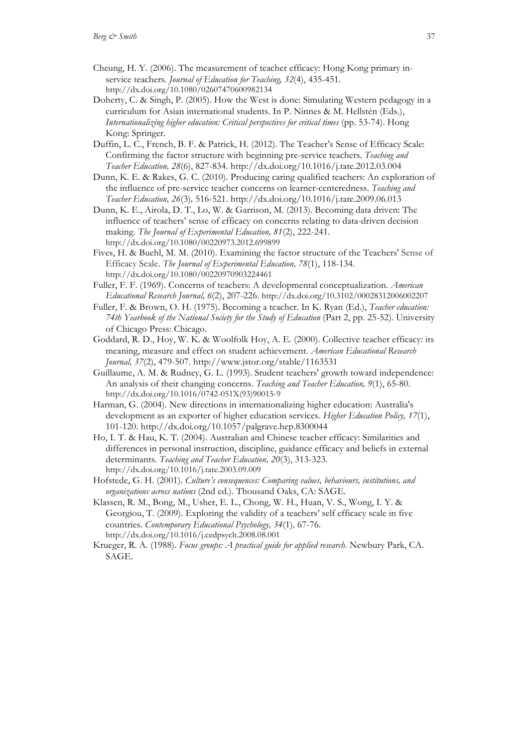- Cheung, H. Y. (2006). The measurement of teacher efficacy: Hong Kong primary inservice teachers. *Journal of Education for Teaching, 32*(4), 435-451. http://dx.doi.org/10.1080/02607470600982134
- Doherty, C. & Singh, P. (2005). How the West is done: Simulating Western pedagogy in a curriculum for Asian international students. In P. Ninnes & M. Hellstén (Eds.), *Internationalizing higher education: Critical perspectives for critical times* (pp. 53-74). Hong Kong: Springer.
- Duffin, L. C., French, B. F. & Patrick, H. (2012). The Teacher's Sense of Efficacy Scale: Confirming the factor structure with beginning pre-service teachers. *Teaching and Teacher Education, 28*(6), 827-834. http://dx.doi.org/10.1016/j.tate.2012.03.004
- Dunn, K. E. & Rakes, G. C. (2010). Producing caring qualified teachers: An exploration of the influence of pre-service teacher concerns on learner-centeredness. *Teaching and Teacher Education, 26*(3)*,* 516-521. http://dx.doi.org/10.1016/j.tate.2009.06.013
- Dunn, K. E., Airola, D. T., Lo, W. & Garrison, M. (2013). Becoming data driven: The influence of teachers' sense of efficacy on concerns relating to data-driven decision making. *The Journal of Experimental Education, 81*(2), 222-241. http://dx.doi.org/10.1080/00220973.2012.699899
- Fives, H. & Buehl, M. M. (2010). Examining the factor structure of the Teachers' Sense of Efficacy Scale. *The Journal of Experimental Education, 78*(1), 118-134. http://dx.doi.org/10.1080/00220970903224461
- Fuller, F. F. (1969). Concerns of teachers: A developmental conceptualization. *American Educational Research Journal, 6*(2), 207-226. http://dx.doi.org/10.3102/00028312006002207
- Fuller, F. & Brown, O. H. (1975). Becoming a teacher. In K. Ryan (Ed.), *Teacher education: 74th Yearbook of the National Society for the Study of Education* (Part 2, pp. 25-52). University of Chicago Press: Chicago.
- Goddard, R. D., Hoy, W. K. & Woolfolk Hoy, A. E. (2000). Collective teacher efficacy: its meaning, measure and effect on student achievement. *American Educational Research Journal, 37*(2), 479-507. http://www.jstor.org/stable/1163531
- Guillaume, A. M. & Rudney, G. L. (1993). Student teachers' growth toward independence: An analysis of their changing concerns. *Teaching and Teacher Education, 9*(1), 65-80. http://dx.doi.org/10.1016/0742-051X(93)90015-9
- Harman, G. (2004). New directions in internationalizing higher education: Australia's development as an exporter of higher education services. *Higher Education Policy, 17*(1), 101-120. http://dx.doi.org/10.1057/palgrave.hep.8300044
- Ho, I. T. & Hau, K. T. (2004). Australian and Chinese teacher efficacy: Similarities and differences in personal instruction, discipline, guidance efficacy and beliefs in external determinants. *Teaching and Teacher Education, 20*(3), 313-323. http://dx.doi.org/10.1016/j.tate.2003.09.009
- Hofstede, G. H. (2001). *Culture's consequences: Comparing values, behaviours, institutions, and organizations across nations* (2nd ed.)*.* Thousand Oaks, CA: SAGE.
- Klassen, R. M., Bong, M., Usher, E. L., Chong, W. H., Huan, V. S., Wong, I. Y. & Georgiou, T. (2009). Exploring the validity of a teachers' self efficacy scale in five countries. *Contemporary Educational Psychology, 34*(1)*,* 67-76. http://dx.doi.org/10.1016/j.cedpsych.2008.08.001
- Krueger, R. A. (1988). *Focus groups: A practical guide for applied research.* Newbury Park, CA. SAGE.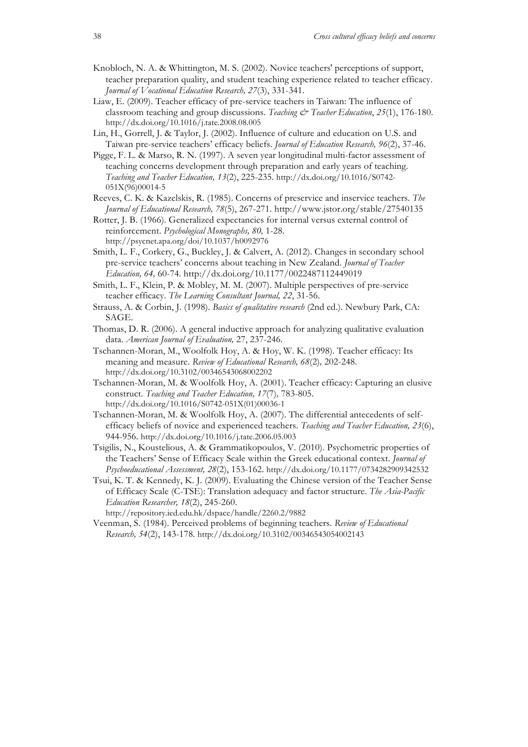- Knobloch, N. A. & Whittington, M. S. (2002). Novice teachers' perceptions of support, teacher preparation quality, and student teaching experience related to teacher efficacy. *Journal of Vocational Education Research, 27*(3), 331-341.
- Liaw, E. (2009). Teacher efficacy of pre-service teachers in Taiwan: The influence of classroom teaching and group discussions. *Teaching & Teacher Education*, *25*(1), 176-180. http://dx.doi.org/10.1016/j.tate.2008.08.005
- Lin, H., Gorrell, J. & Taylor, J. (2002). Influence of culture and education on U.S. and Taiwan pre-service teachers' efficacy beliefs. *Journal of Education Research, 96*(2), 37-46.
- Pigge, F. L. & Marso, R. N. (1997). A seven year longitudinal multi-factor assessment of teaching concerns development through preparation and early years of teaching. *Teaching and Teacher Education, 13*(2), 225-235. http://dx.doi.org/10.1016/S0742- 051X(96)00014-5
- Reeves, C. K. & Kazelskis, R. (1985). Concerns of preservice and inservice teachers. *The Journal of Educational Research, 78*(5), 267-271. http://www.jstor.org/stable/27540135
- Rotter, J. B. (1966). Generalized expectancies for internal versus external control of reinforcement. *Psychological Monographs, 80,* 1-28. http://psycnet.apa.org/doi/10.1037/h0092976
- Smith, L. F., Corkery, G., Buckley, J. & Calvert, A. (2012). Changes in secondary school pre-service teachers' concerns about teaching in New Zealand. *Journal of Teacher Education, 64,* 60-74*.* http://dx.doi.org/10.1177/0022487112449019
- Smith, L. F., Klein, P. & Mobley, M. M. (2007). Multiple perspectives of pre-service teacher efficacy. *The Learning Consultant Journal, 22*, 31-56.
- Strauss, A. & Corbin, J. (1998). *Basics of qualitative research* (2nd ed.). Newbury Park, CA: SAGE.
- Thomas, D. R. (2006). A general inductive approach for analyzing qualitative evaluation data. *American Journal of Evaluation,* 27, 237-246.
- Tschannen-Moran, M., Woolfolk Hoy, A. & Hoy, W. K. (1998). Teacher efficacy: Its meaning and measure. *Review of Educational Research, 68*(2)*,* 202-248. http://dx.doi.org/10.3102/00346543068002202
- Tschannen-Moran, M. & Woolfolk Hoy, A. (2001). Teacher efficacy: Capturing an elusive construct. *Teaching and Teacher Education, 17*(7)*,* 783-805. http://dx.doi.org/10.1016/S0742-051X(01)00036-1
- Tschannen-Moran, M. & Woolfolk Hoy, A. (2007). The differential antecedents of selfefficacy beliefs of novice and experienced teachers. *Teaching and Teacher Education, 23*(6), 944-956. http://dx.doi.org/10.1016/j.tate.2006.05.003
- Tsigilis, N., Koustelious, A. & Grammatikopoulos, V. (2010). Psychometric properties of the Teachers' Sense of Efficacy Scale within the Greek educational context. *Journal of Psychoeducational Assessment, 28*(2), 153-162. http://dx.doi.org/10.1177/0734282909342532
- Tsui, K. T. & Kennedy, K. J. (2009). Evaluating the Chinese version of the Teacher Sense of Efficacy Scale (C-TSE): Translation adequacy and factor structure. *The Asia-Pacific Education Researcher, 18*(2), 245-260.
	- http://repository.ied.edu.hk/dspace/handle/2260.2/9882
- Veenman, S. (1984). Perceived problems of beginning teachers. *Review of Educational Research, 54*(2), 143-178. http://dx.doi.org/10.3102/00346543054002143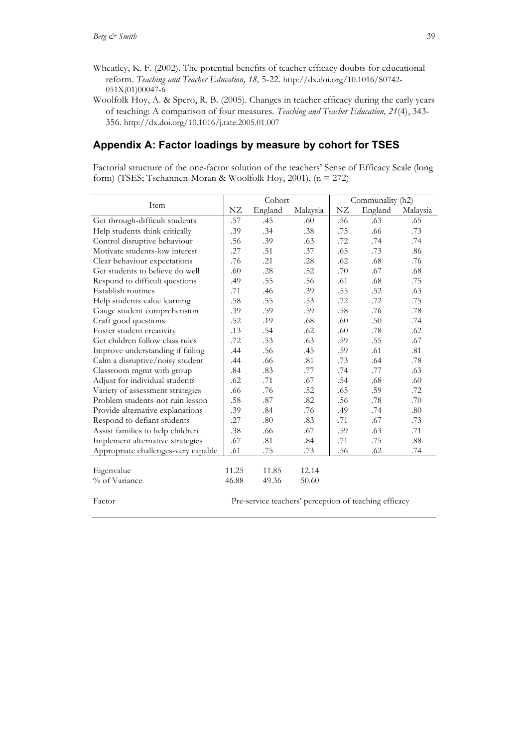- Wheatley, K. F. (2002). The potential benefits of teacher efficacy doubts for educational reform. *Teaching and Teacher Education, 18,* 5-22. http://dx.doi.org/10.1016/S0742- 051X(01)00047-6
- Woolfolk Hoy, A. & Spero, R. B. (2005). Changes in teacher efficacy during the early years of teaching: A comparison of four measures*. Teaching and Teacher Education, 21*(4), 343- 356. http://dx.doi.org/10.1016/j.tate.2005.01.007

# **Appendix A: Factor loadings by measure by cohort for TSES**

Factorial structure of the one-factor solution of the teachers' Sense of Efficacy Scale (long form) (TSES; Tschannen-Moran & Woolfolk Hoy, 2001), (n = 272)

| Item                                |                                                       | Cohort  |            | Communality (h2) |         |          |  |
|-------------------------------------|-------------------------------------------------------|---------|------------|------------------|---------|----------|--|
|                                     | NZ                                                    | England | Malaysia   | NZ               | England | Malaysia |  |
| Get through-difficult students      |                                                       | .45     | .60        | .56              | .63     | .65      |  |
| Help students think critically      |                                                       | .34     | .38        | .75              | .66     | .73      |  |
| Control disruptive behaviour        | .56                                                   | .39     | .63<br>.72 |                  | .74     | .74      |  |
| Motivate students-low interest      | .27                                                   | .51     | .37        | .65              | .73     | .86      |  |
| Clear behaviour expectations        | .76                                                   | .21     | .28        | .62              | .68     | .76      |  |
| Get students to believe do well     | .60                                                   | .28     | .52        | .70              | .67     | .68      |  |
| Respond to difficult questions      | .49                                                   | .55     | .56        | .61              | .68     | .75      |  |
| Establish routines                  | .71                                                   | .46     | .39        | .55              | .52     | .63      |  |
| Help students value learning        | .58                                                   | .55     | .53        | .72              | .72     | .75      |  |
| Gauge student comprehension         | .39                                                   | .59     | .59        | .58              | .76     | .78      |  |
| Craft good questions                | .52                                                   | .19     | .68        | .60              | .50     | .74      |  |
| Foster student creativity           | .13                                                   | .54     | .62        | .60              | .78     | .62      |  |
| Get children follow class rules     | .72                                                   | .53     | .63        | .59              | .55     | .67      |  |
| Improve understanding if failing    |                                                       | .56     | .45        | .59              | .61     | .81      |  |
| Calm a disruptive/noisy student     |                                                       | .66     | .81        | .73              | .64     | .78      |  |
| Classroom mgmt with group           | .84                                                   | .83     | .77        | .74              | .77     | .63      |  |
| Adjust for individual students      | .62                                                   | .71     | .67        | .54              | .68     | .60      |  |
| Variety of assessment strategies    | .66                                                   | .76     | .52        | .65              | .59     | .72      |  |
| Problem students-not ruin lesson    | .58                                                   | .87     | .82        | .56              | .78     | .70      |  |
| Provide alternative explanations    | .39                                                   | .84     | .76        | .49              | .74     | .80      |  |
| Respond to defiant students         | .27                                                   | .80     | .83        | .71              | .67     | .73      |  |
| Assist families to help children    | .38                                                   | .66     | .67        | .59              | .63     | .71      |  |
| Implement alternative strategies    | .67                                                   | .81     | .84        | .71              | .75     | .88      |  |
| Appropriate challenges-very capable | .61                                                   | .75     | .73        | .56              | .62     | .74      |  |
|                                     |                                                       |         |            |                  |         |          |  |
| Eigenvalue                          | 11.25                                                 | 11.85   | 12.14      |                  |         |          |  |
| % of Variance                       | 46.88                                                 | 49.36   | 50.60      |                  |         |          |  |
|                                     |                                                       |         |            |                  |         |          |  |
| Factor                              | Pre-service teachers' perception of teaching efficacy |         |            |                  |         |          |  |